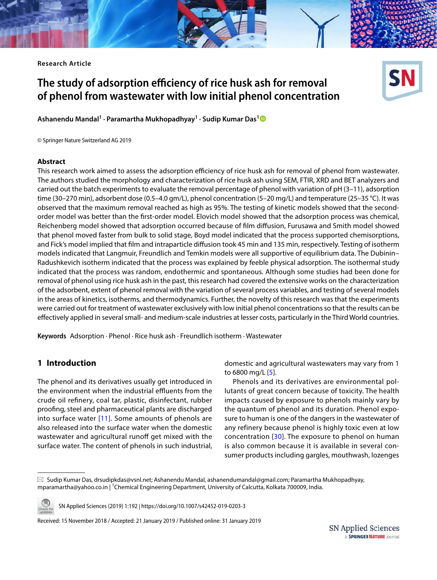**Research Article**

# **The study of adsorption efficiency of rice husk ash for removal of phenol from wastewater with low initial phenol concentration**



**Ashanendu Mandal<sup>1</sup> · Paramartha Mukhopadhyay<sup>1</sup> · Sudip Kumar Das[1](http://orcid.org/0000-0002-9177-8381)**

© Springer Nature Switzerland AG 2019

## **Abstract**

This research work aimed to assess the adsorption efficiency of rice husk ash for removal of phenol from wastewater. The authors studied the morphology and characterization of rice husk ash using SEM, FTIR, XRD and BET analyzers and carried out the batch experiments to evaluate the removal percentage of phenol with variation of pH (3–11), adsorption time (30–270 min), adsorbent dose (0.5–4.0 gm/L), phenol concentration (5–20 mg/L) and temperature (25–35 °C). It was observed that the maximum removal reached as high as 95%. The testing of kinetic models showed that the secondorder model was better than the first-order model. Elovich model showed that the adsorption process was chemical, Reichenberg model showed that adsorption occurred because of film diffusion, Furusawa and Smith model showed that phenol moved faster from bulk to solid stage, Boyd model indicated that the process supported chemisorptions, and Fick's model implied that film and intraparticle diffusion took 45 min and 135 min, respectively. Testing of isotherm models indicated that Langmuir, Freundlich and Temkin models were all supportive of equilibrium data. The Dubinin– Radushkevich isotherm indicated that the process was explained by feeble physical adsorption. The isothermal study indicated that the process was random, endothermic and spontaneous. Although some studies had been done for removal of phenol using rice husk ash in the past, this research had covered the extensive works on the characterization of the adsorbent, extent of phenol removal with the variation of several process variables, and testing of several models in the areas of kinetics, isotherms, and thermodynamics. Further, the novelty of this research was that the experiments were carried out for treatment of wastewater exclusively with low initial phenol concentrations so that the results can be effectively applied in several small- and medium-scale industries at lesser costs, particularly in the Third World countries.

**Keywords** Adsorption · Phenol · Rice husk ash · Freundlich isotherm · Wastewater

# **1 Introduction**

The phenol and its derivatives usually get introduced in the environment when the industrial effluents from the crude oil refinery, coal tar, plastic, disinfectant, rubber proofing, steel and pharmaceutical plants are discharged into surface water [[11\]](#page-12-0). Some amounts of phenols are also released into the surface water when the domestic wastewater and agricultural runoff get mixed with the surface water. The content of phenols in such industrial, domestic and agricultural wastewaters may vary from 1 to 6800 mg/L [[5](#page-12-1)].

Phenols and its derivatives are environmental pollutants of great concern because of toxicity. The health impacts caused by exposure to phenols mainly vary by the quantum of phenol and its duration. Phenol exposure to human is one of the dangers in the wastewater of any refinery because phenol is highly toxic even at low concentration [\[30](#page-12-2)]. The exposure to phenol on human is also common because it is available in several consumer products including gargles, mouthwash, lozenges

 $\boxtimes$  Sudip Kumar Das, drsudipkdas@vsnl.net; Ashanendu Mandal, ashanendumandal@gmail.com; Paramartha Mukhopadhyay, mparamartha@yahoo.co.in | <sup>1</sup>Chemical Engineering Department, University of Calcutta, Kolkata 700009, India.



SN Applied Sciences (2019) 1:192 | https://doi.org/10.1007/s42452-019-0203-3

Received: 15 November 2018 / Accepted: 21 January 2019 / Published online: 31 January 2019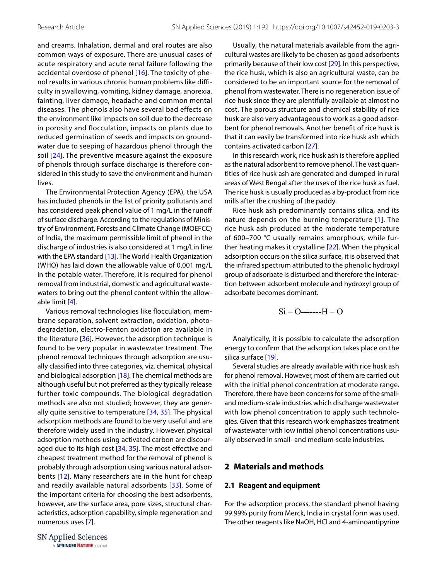and creams. Inhalation, dermal and oral routes are also common ways of exposure. There are unusual cases of acute respiratory and acute renal failure following the accidental overdose of phenol [\[16\]](#page-12-3). The toxicity of phenol results in various chronic human problems like difficulty in swallowing, vomiting, kidney damage, anorexia, fainting, liver damage, headache and common mental diseases. The phenols also have several bad effects on the environment like impacts on soil due to the decrease in porosity and flocculation, impacts on plants due to reduced germination of seeds and impacts on groundwater due to seeping of hazardous phenol through the soil [[24](#page-12-4)]. The preventive measure against the exposure of phenols through surface discharge is therefore considered in this study to save the environment and human lives.

The Environmental Protection Agency (EPA), the USA has included phenols in the list of priority pollutants and has considered peak phenol value of 1 mg/L in the runoff of surface discharge. According to the regulations of Ministry of Environment, Forests and Climate Change (MOEFCC) of India, the maximum permissible limit of phenol in the discharge of industries is also considered at 1 mg/Lin line with the EPA standard [[13](#page-12-5)]. The World Health Organization (WHO) has laid down the allowable value of 0.001 mg/L in the potable water. Therefore, it is required for phenol removal from industrial, domestic and agricultural wastewaters to bring out the phenol content within the allowable limit [[4](#page-12-6)].

Various removal technologies like flocculation, membrane separation, solvent extraction, oxidation, photodegradation, electro-Fenton oxidation are available in the literature [[36](#page-12-7)]. However, the adsorption technique is found to be very popular in wastewater treatment. The phenol removal techniques through adsorption are usually classified into three categories, viz. chemical, physical and biological adsorption [[18](#page-12-8)]. The chemical methods are although useful but not preferred as they typically release further toxic compounds. The biological degradation methods are also not studied; however, they are generally quite sensitive to temperature  $[34, 35]$  $[34, 35]$  $[34, 35]$  $[34, 35]$ . The physical adsorption methods are found to be very useful and are therefore widely used in the industry. However, physical adsorption methods using activated carbon are discouraged due to its high cost  $[34, 35]$  $[34, 35]$  $[34, 35]$  $[34, 35]$  $[34, 35]$ . The most effective and cheapest treatment method for the removal of phenol is probably through adsorption using various natural adsorbents [\[12](#page-12-11)]. Many researchers are in the hunt for cheap and readily available natural adsorbents [[33](#page-12-12)]. Some of the important criteria for choosing the best adsorbents, however, are the surface area, pore sizes, structural characteristics, adsorption capability, simple regeneration and numerous uses [[7\]](#page-12-13).

Usually, the natural materials available from the agricultural wastes are likely to be chosen as good adsorbents primarily because of their low cost [[29\]](#page-12-14). In this perspective, the rice husk, which is also an agricultural waste, can be considered to be an important source for the removal of phenol from wastewater. There is no regeneration issue of rice husk since they are plentifully available at almost no cost. The porous structure and chemical stability of rice husk are also very advantageous to work as a good adsorbent for phenol removals. Another benefit of rice husk is that it can easily be transformed into rice husk ash which contains activated carbon [\[27\]](#page-12-15).

In this research work, rice husk ash is therefore applied as the natural adsorbent to remove phenol. The vast quantities of rice husk ash are generated and dumped in rural areas of West Bengal after the uses of the rice husk as fuel. The rice husk is usually produced as a by-product from rice mills after the crushing of the paddy.

Rice husk ash predominantly contains silica, and its nature depends on the burning temperature [[1\]](#page-11-0). The rice husk ash produced at the moderate temperature of 600–700 °C usually remains amorphous, while further heating makes it crystalline [\[22\]](#page-12-16). When the physical adsorption occurs on the silica surface, it is observed that the infrared spectrum attributed to the phenolic hydroxyl group of adsorbate is disturbed and therefore the interaction between adsorbent molecule and hydroxyl group of adsorbate becomes dominant.

$$
Si - O
$$
-----H – O

Analytically, it is possible to calculate the adsorption energy to confirm that the adsorption takes place on the silica surface [\[19\]](#page-12-17).

Several studies are already available with rice husk ash for phenol removal. However, most of them are carried out with the initial phenol concentration at moderate range. Therefore, there have been concerns for some of the smalland medium-scale industries which discharge wastewater with low phenol concentration to apply such technologies. Given that this research work emphasizes treatment of wastewater with low initial phenol concentrations usually observed in small- and medium-scale industries.

# **2 Materials and methods**

## **2.1 Reagent and equipment**

For the adsorption process, the standard phenol having 99.99% purity from Merck, India in crystal form was used. The other reagents like NaOH, HCl and 4-aminoantipyrine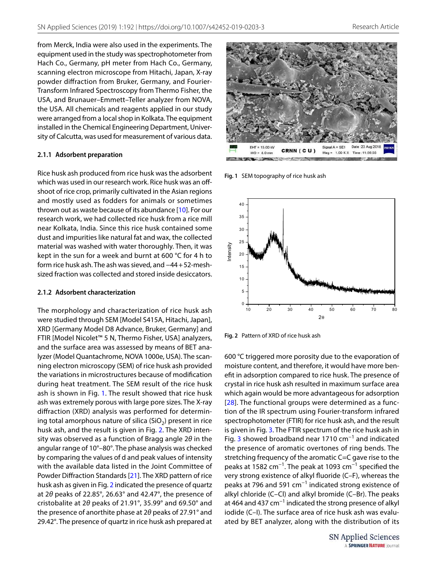from Merck, India were also used in the experiments. The equipment used in the study was spectrophotometer from Hach Co., Germany, pH meter from Hach Co., Germany, scanning electron microscope from Hitachi, Japan, X-ray powder diffraction from Bruker, Germany, and Fourier-Transform Infrared Spectroscopy from Thermo Fisher, the USA, and Brunauer–Emmett–Teller analyzer from NOVA, the USA. All chemicals and reagents applied in our study were arranged from a local shop in Kolkata. The equipment installed in the Chemical Engineering Department, University of Calcutta, was used for measurement of various data.

#### **2.1.1 Adsorbent preparation**

Rice husk ash produced from rice husk was the adsorbent which was used in our research work. Rice husk was an offshoot of rice crop, primarily cultivated in the Asian regions and mostly used as fodders for animals or sometimes thrown out as waste because of its abundance [\[10](#page-12-18)]. For our research work, we had collected rice husk from a rice mill near Kolkata, India. Since this rice husk contained some dust and impurities like natural fat and wax, the collected material was washed with water thoroughly. Then, it was kept in the sun for a week and burnt at 600 °C for 4 h to form rice husk ash. The ash was sieved, and −44 + 52-meshsized fraction was collected and stored inside desiccators.

#### **2.1.2 Adsorbent characterization**

The morphology and characterization of rice husk ash were studied through SEM [Model S415A, Hitachi, Japan], XRD [Germany Model D8 Advance, Bruker, Germany] and FTIR [Model Nicolet™ 5 N, Thermo Fisher, USA] analyzers, and the surface area was assessed by means of BET analyzer (Model Quantachrome, NOVA 1000e, USA). The scanning electron microscopy (SEM) of rice husk ash provided the variations in microstructures because of modification during heat treatment. The SEM result of the rice husk ash is shown in Fig. [1](#page-2-0). The result showed that rice husk ash was extremely porous with large pore sizes. The X-ray diffraction (XRD) analysis was performed for determining total amorphous nature of silica (SiO<sub>2</sub>) present in rice husk ash, and the result is given in Fig. [2](#page-2-1). The XRD intensity was observed as a function of Bragg angle  $2\theta$  in the angular range of 10°–80°. The phase analysis was checked by comparing the values of d and peak values of intensity with the available data listed in the Joint Committee of Powder Diffraction Standards [\[21](#page-12-19)]. The XRD pattern of rice husk ash as given in Fig. [2](#page-2-1) indicated the presence of quartz at 2θ peaks of 22.85°, 26.63° and 42.47°, the presence of cristobalite at 2θ peaks of 21.91°, 35.99° and 69.50° and the presence of anorthite phase at 2 $\theta$  peaks of 27.91° and 29.42°. The presence of quartz in rice husk ash prepared at



<span id="page-2-0"></span>**Fig. 1** SEM topography of rice husk ash



<span id="page-2-1"></span>**Fig. 2** Pattern of XRD of rice husk ash

600 °C triggered more porosity due to the evaporation of moisture content, and therefore, it would have more benefit in adsorption compared to rice husk. The presence of crystal in rice husk ash resulted in maximum surface area which again would be more advantageous for adsorption [ $28$ ]. The functional groups were determined as a function of the IR spectrum using Fourier-transform infrared spectrophotometer (FTIR) for rice husk ash, and the result is given in Fig. [3](#page-3-0). The FTIR spectrum of the rice husk ash in Fig. [3](#page-3-0) showed broadband near 1710 cm−1 and indicated the presence of aromatic overtones of ring bends. The stretching frequency of the aromatic C=C gave rise to the peaks at 1582 cm<sup>-1</sup>. The peak at 1093 cm<sup>-1</sup> specified the very strong existence of alkyl fluoride (C–F), whereas the peaks at 796 and 591 cm<sup>-1</sup> indicated strong existence of alkyl chloride (C–Cl) and alkyl bromide (C–Br). The peaks at 464 and 437  $cm^{-1}$  indicated the strong presence of alkyl iodide (C–I). The surface area of rice husk ash was evaluated by BET analyzer, along with the distribution of its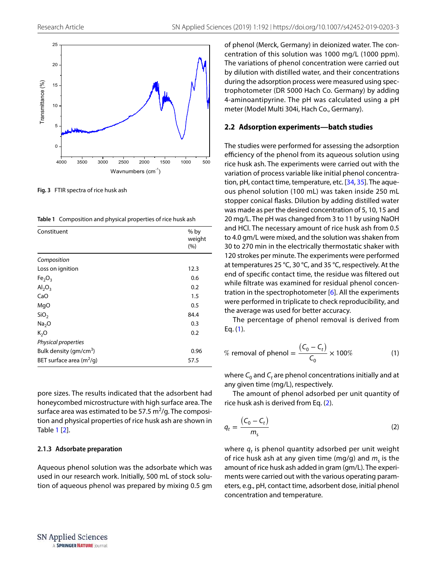

<span id="page-3-0"></span>**Fig. 3** FTIR spectra of rice husk ash

<span id="page-3-1"></span>**Table 1** Composition and physical properties of rice husk ash

| Constituent                        | $%$ by<br>weight<br>(% ) |
|------------------------------------|--------------------------|
| Composition                        |                          |
| Loss on ignition                   | 12.3                     |
| Fe <sub>2</sub> O <sub>3</sub>     | 0.6                      |
| $\mathsf{Al}_2\mathsf{O}_3$        | 0.2                      |
| CaO                                | 1.5                      |
| MgO                                | 0.5                      |
| SiO <sub>2</sub>                   | 84.4                     |
| Na <sub>2</sub> O                  | 0.3                      |
| K <sub>2</sub> O                   | 0.2                      |
| Physical properties                |                          |
| Bulk density (gm/cm <sup>3</sup> ) | 0.96                     |
| BET surface area ( $m^2$ /g)       | 57.5                     |

pore sizes. The results indicated that the adsorbent had honeycombed microstructure with high surface area. The surface area was estimated to be 57.5  $m^2$ /g. The composition and physical properties of rice husk ash are shown in Table [1](#page-3-1) [[2\]](#page-12-21).

## **2.1.3 Adsorbate preparation**

Aqueous phenol solution was the adsorbate which was used in our research work. Initially, 500 mL of stock solution of aqueous phenol was prepared by mixing 0.5 gm of phenol (Merck, Germany) in deionized water. The concentration of this solution was 1000 mg/L (1000 ppm). The variations of phenol concentration were carried out by dilution with distilled water, and their concentrations during the adsorption process were measured using spectrophotometer (DR 5000 Hach Co. Germany) by adding 4-aminoantipyrine. The pH was calculated using a pH meter (Model Multi 304i, Hach Co., Germany).

## **2.2 Adsorption experiments—batch studies**

The studies were performed for assessing the adsorption efficiency of the phenol from its aqueous solution using rice husk ash. The experiments were carried out with the variation of process variable like initial phenol concentration, pH, contact time, temperature, etc. [[34,](#page-12-9) [35\]](#page-12-10). The aqueous phenol solution (100 mL) was taken inside 250 mL stopper conical flasks. Dilution by adding distilled water was made as per the desired concentration of 5, 10, 15 and 20 mg/L. The pH was changed from 3 to 11 by using NaOH and HCl. The necessary amount of rice husk ash from 0.5 to 4.0 gm/L were mixed, and the solution was shaken from 30 to 270 min in the electrically thermostatic shaker with 120 strokes per minute. The experiments were performed at temperatures 25 °C, 30 °C, and 35 °C, respectively. At the end of specific contact time, the residue was filtered out while filtrate was examined for residual phenol concentration in the spectrophotometer [\[6](#page-12-22)]. All the experiments were performed in triplicate to check reproducibility, and the average was used for better accuracy.

The percentage of phenol removal is derived from Eq. ([1\)](#page-3-2).

<span id="page-3-2"></span>% removal of phenol = 
$$
\frac{(C_0 - C_t)}{C_0} \times 100\%
$$
 (1)

where  $C_0$  and  $C_t$  are phenol concentrations initially and at any given time (mg/L), respectively.

The amount of phenol adsorbed per unit quantity of rice husk ash is derived from Eq. ([2](#page-3-3)).

<span id="page-3-3"></span>
$$
q_t = \frac{(C_0 - C_t)}{m_s} \tag{2}
$$

where  $q_t$  is phenol quantity adsorbed per unit weight of rice husk ash at any given time (mg/g) and  $m<sub>s</sub>$  is the amount of rice husk ash added in gram (gm/L). The experiments were carried out with the various operating parameters, e.g., pH, contact time, adsorbent dose, initial phenol concentration and temperature.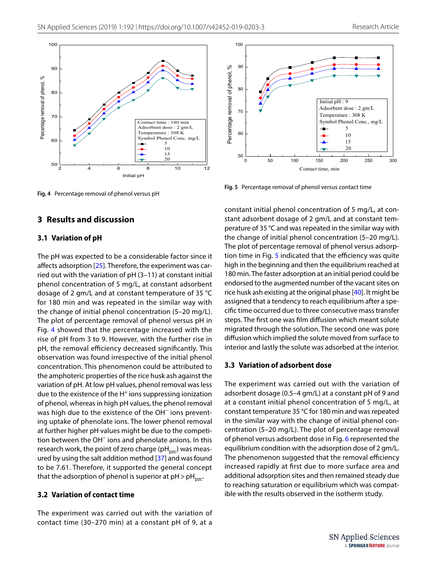

<span id="page-4-0"></span>**Fig. 4** Percentage removal of phenol versus pH

# **3 Results and discussion**

#### **3.1 Variation of pH**

The pH was expected to be a considerable factor since it affects adsorption [\[25](#page-12-23)]. Therefore, the experiment was carried out with the variation of pH (3–11) at constant initial phenol concentration of 5 mg/L, at constant adsorbent dosage of 2 gm/L and at constant temperature of 35 °C for 180 min and was repeated in the similar way with the change of initial phenol concentration (5–20 mg/L). The plot of percentage removal of phenol versus pH in Fig. [4](#page-4-0) showed that the percentage increased with the rise of pH from 3 to 9. However, with the further rise in pH, the removal efficiency decreased significantly. This observation was found irrespective of the initial phenol concentration. This phenomenon could be attributed to the amphoteric properties of the rice husk ash against the variation of pH. At low pH values, phenol removal was less due to the existence of the  $H^+$  ions suppressing ionization of phenol, whereas in high pH values, the phenol removal was high due to the existence of the OH<sup>-</sup> ions preventing uptake of phenolate ions. The lower phenol removal at further higher pH values might be due to the competition between the OH<sup>-</sup> ions and phenolate anions. In this research work, the point of zero charge ( $pH_{pzz}$ ) was measured by using the salt addition method [\[37](#page-12-24)] and was found to be 7.61. Therefore, it supported the general concept that the adsorption of phenol is superior at  $pH$  >  $pH_{pzc}$ .

## **3.2 Variation of contact time**

The experiment was carried out with the variation of contact time (30–270 min) at a constant pH of 9, at a



<span id="page-4-1"></span>**Fig. 5** Percentage removal of phenol versus contact time

constant initial phenol concentration of 5 mg/L, at constant adsorbent dosage of 2 gm/L and at constant temperature of 35 °C and was repeated in the similar way with the change of initial phenol concentration (5–20 mg/L). The plot of percentage removal of phenol versus adsorption time in Fig. [5](#page-4-1) indicated that the efficiency was quite high in the beginning and then the equilibrium reached at 180 min. The faster adsorption at an initial period could be endorsed to the augmented number of the vacant sites on rice husk ash existing at the original phase [\[40\]](#page-12-25). It might be assigned that a tendency to reach equilibrium after a specific time occurred due to three consecutive mass transfer steps. The first one was film diffusion which meant solute migrated through the solution. The second one was pore diffusion which implied the solute moved from surface to interior and lastly the solute was adsorbed at the interior.

## **3.3 Variation of adsorbent dose**

The experiment was carried out with the variation of adsorbent dosage (0.5–4 gm/L) at a constant pH of 9 and at a constant initial phenol concentration of 5 mg/L, at constant temperature 35 °C for 180 min and was repeated in the similar way with the change of initial phenol concentration (5–20 mg/L). The plot of percentage removal of phenol versus adsorbent dose in Fig. [6](#page-5-0) represented the equilibrium condition with the adsorption dose of 2 gm/L. The phenomenon suggested that the removal efficiency increased rapidly at first due to more surface area and additional adsorption sites and then remained steady due to reaching saturation or equilibrium which was compatible with the results observed in the isotherm study.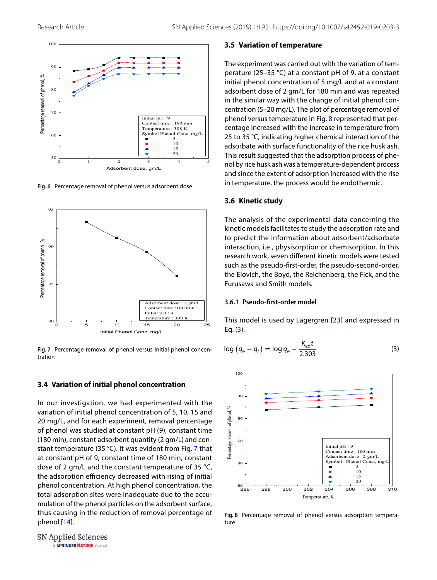

<span id="page-5-0"></span>**Fig. 6** Percentage removal of phenol versus adsorbent dose



<span id="page-5-1"></span>**Fig. 7** Percentage removal of phenol versus initial phenol concentration

# **3.4 Variation of initial phenol concentration**

In our investigation, we had experimented with the variation of initial phenol concentration of 5, 10, 15 and 20 mg/L, and for each experiment, removal percentage of phenol was studied at constant pH (9), constant time (180 min), constant adsorbent quantity (2 gm/L) and constant temperature (35 °C). It was evident from Fig. [7](#page-5-1) that at constant pH of 9, constant time of 180 min, constant dose of 2 gm/L and the constant temperature of 35 °C, the adsorption efficiency decreased with rising of initial phenol concentration. At high phenol concentration, the total adsorption sites were inadequate due to the accumulation of the phenol particles on the adsorbent surface, thus causing in the reduction of removal percentage of phenol [[14](#page-12-26)].

## **3.5 Variation of temperature**

The experiment was carried out with the variation of temperature (25–35 °C) at a constant pH of 9, at a constant initial phenol concentration of 5 mg/L and at a constant adsorbent dose of 2 gm/L for 180 min and was repeated in the similar way with the change of initial phenol concentration (5–20 mg/L). The plot of percentage removal of phenol versus temperature in Fig. [8](#page-5-2) represented that percentage increased with the increase in temperature from 25 to 35 °C, indicating higher chemical interaction of the adsorbate with surface functionality of the rice husk ash. This result suggested that the adsorption process of phenol by rice husk ash was a temperature-dependent process and since the extent of adsorption increased with the rise in temperature, the process would be endothermic.

## **3.6 Kinetic study**

The analysis of the experimental data concerning the kinetic models facilitates to study the adsorption rate and to predict the information about adsorbent/adsorbate interaction, i.e., physisorption or chemisorption. In this research work, seven different kinetic models were tested such as the pseudo-first-order, the pseudo-second-order, the Elovich, the Boyd, the Reichenberg, the Fick, and the Furusawa and Smith models.

## **3.6.1 Pseudo‑first‑order model**

This model is used by Lagergren [[23](#page-12-27)] and expressed in Eq. ([3\)](#page-5-3).

<span id="page-5-3"></span>
$$
\log\left(q_{\rm e}-q_{\rm t}\right) = \log q_{\rm e} - \frac{K_{\rm ad}t}{2.303} \tag{3}
$$



<span id="page-5-2"></span>**Fig. 8** Percentage removal of phenol versus adsorption temperature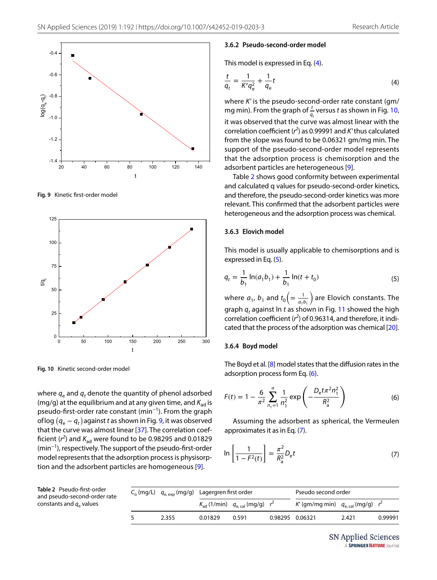

<span id="page-6-0"></span>**Fig. 9** Kinetic first-order model



<span id="page-6-2"></span>**Fig. 10** Kinetic second-order model

where  $q_{\rm e}$  and  $q_{\rm t}$  denote the quantity of phenol adsorbed (mg/g) at the equilibrium and at any given time, and  $K_{ad}$  is pseudo-first-order rate constant (min<sup>-1</sup>). From the graph of log  $(q_{\rm e} - q_{\rm t})$ against t as shown in Fig. [9,](#page-6-0) it was observed that the curve was almost linear [\[37](#page-12-24)]. The correlation coefficient ( $r^2$ ) and  $K_{\text{ad}}$  were found to be 0.98295 and 0.01829 (min−1), respectively. The support of the pseudo-first-order model represents that the adsorption process is physisorption and the adsorbent particles are homogeneous [[9](#page-12-28)].

#### **3.6.2 Pseudo‑second‑order model**

This model is expressed in Eq. [\(4](#page-6-1)).

<span id="page-6-1"></span>
$$
\frac{t}{q_t} = \frac{1}{K'q_e^2} + \frac{1}{q_e}t\tag{4}
$$

where K' is the pseudo-second-order rate constant (gm/ mg min). From the graph of  $\frac{t}{q_t}$  versus t as shown in Fig. [10](#page-6-2), it was observed that the curve was almost linear with the correlation coefficient (r 2 ) as 0.99991 and K*′* thus calculated from the slope was found to be 0.06321 gm/mg min. The support of the pseudo-second-order model represents that the adsorption process is chemisorption and the adsorbent particles are heterogeneous [[9\]](#page-12-28).

Table [2](#page-6-3) shows good conformity between experimental and calculated q values for pseudo-second-order kinetics, and therefore, the pseudo-second-order kinetics was more relevant. This confirmed that the adsorbent particles were heterogeneous and the adsorption process was chemical.

#### **3.6.3 Elovich model**

This model is usually applicable to chemisorptions and is expressed in Eq. ([5\)](#page-6-4).

<span id="page-6-4"></span>
$$
q_t = \frac{1}{b_1} \ln(a_1 b_1) + \frac{1}{b_1} \ln(t + t_0)
$$
 (5)

where  $a_1$ ,  $b_1$  and  $t_0 = \frac{1}{a_1}$  $a_1b_1$ ) are Elovich constants. The graph  $q_t$  against ln t as shown in Fig. [11](#page-7-0) showed the high correlation coefficient ( $r^2$ ) of 0.96314, and therefore, it indicated that the process of the adsorption was chemical [\[20](#page-12-29)].

#### **3.6.4 Boyd model**

The Boyd et al. [\[8\]](#page-12-30) model states that the diffusion rates in the adsorption process form Eq. [\(6\)](#page-6-5).

$$
F(t) = 1 - \frac{6}{\pi^2} \sum_{n_1=1}^{\alpha} \frac{1}{n_1^2} \exp\left(-\frac{D_e t \pi^2 n_1^2}{R_a^2}\right)
$$
 (6)

Assuming the adsorbent as spherical, the Vermeulen approximates it as in Eq. [\(7](#page-6-6)).

$$
\ln\left[\frac{1}{1-F^2(t)}\right] = \frac{\pi^2}{R_a^2} D_{\rm e} t \tag{7}
$$

<span id="page-6-3"></span>**Table 2** Pseudo-first-order and pseudo-second-order rate constants and  $q_e$  values

|       | $C_{\rm o}$ (mg/L) $q_{\rm e, exp}$ (mg/g) Lagergren first order |                                                                     | Pseudo second order |                                          |       |         |
|-------|------------------------------------------------------------------|---------------------------------------------------------------------|---------------------|------------------------------------------|-------|---------|
|       |                                                                  | $K_{\text{ad}}(1/\text{min})$ $q_{\text{e cal}}(\text{mg/g})$ $r^2$ |                     | K' (gm/mg min) $q_{e, cal}$ (mg/g) $r^2$ |       |         |
| 2.355 | 0.01829                                                          | 0.591                                                               | 0.98295 0.06321     |                                          | 2.421 | 0.99991 |

<span id="page-6-6"></span><span id="page-6-5"></span>SN Applied Sciences A SPRINGER NATURE journal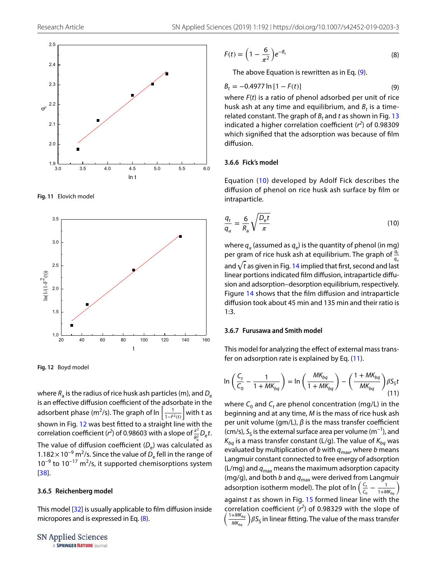

<span id="page-7-0"></span>**Fig. 11** Elovich model



<span id="page-7-1"></span>**Fig. 12** Boyd model

where  $R_{\sf a}$  is the radius of rice husk ash particles (m), and  $D_{\sf e}$ is an effective diffusion coefficient of the adsorbate in the adsorbent phase (m<sup>2</sup>/s). The graph of ln  $\left[\frac{1}{1.5}\right]$  $\frac{1}{1-F^2(t)}$  with t as shown in Fig. [12](#page-7-1) was best fitted to a straight line with the correlation coefficient ( $r^2$ ) of 0.98603 with a slope of  $\frac{\pi^2}{R_s^2} D_{\rm e} t$ . The value of diffusion coefficient  $(D_e)$  was calculated as  $1.182 \times 10^{-9}$  m<sup>2</sup>/s. Since the value of  $D_e$  fell in the range of  $10^{-9}$  to  $10^{-17}$  m<sup>2</sup>/s, it supported chemisorptions system [[38](#page-12-31)].

#### **3.6.5 Reichenberg model**

This model [[32\]](#page-12-32) is usually applicable to film diffusion inside micropores and is expressed in Eq. [\(8](#page-7-2)).

SN Applied Sciences A SPRINGER NATURE journal

$$
F(t) = \left(1 - \frac{6}{\pi^2}\right) e^{-B_t} \tag{8}
$$

<span id="page-7-3"></span><span id="page-7-2"></span>The above Equation is rewritten as in Eq. ([9\)](#page-7-3).

$$
B_t = -0.4977 \ln\left[1 - F(t)\right] \tag{9}
$$

where  $F(t)$  is a ratio of phenol adsorbed per unit of rice husk ash at any time and equilibrium, and  $B_t$  is a timerelated constant. The graph of  $B_t$  and t as shown in Fig. [13](#page-8-0) indicated a higher correlation coefficient  $(r^2)$  of 0.98309 which signified that the adsorption was because of film diffusion.

#### **3.6.6 Fick's model**

Equation ([10\)](#page-7-4) developed by Adolf Fick describes the diffusion of phenol on rice husk ash surface by film or intraparticle.

<span id="page-7-4"></span>
$$
\frac{q_t}{q_\alpha} = \frac{6}{R_\text{a}} \sqrt{\frac{D_\text{e}t}{\pi}} \tag{10}
$$

where  $q_{\alpha}$  (assumed as  $q_{\text{e}}$ ) is the quantity of phenol (in mg) per gram of rice husk ash at equilibrium. The graph of  $\frac{q_i}{q_a}$ and  $\sqrt{t}$  as given in Fig. [14](#page-8-1) implied that first, second and last linear portions indicated film diffusion, intraparticle diffusion and adsorption–desorption equilibrium, respectively. Figure [14](#page-8-1) shows that the film diffusion and intraparticle diffusion took about 45 min and 135 min and their ratio is 1:3.

#### **3.6.7 Furusawa and Smith model**

This model for analyzing the effect of external mass transfer on adsorption rate is explained by Eq. ([11](#page-7-5)).

$$
\ln\left(\frac{C_t}{C_0} - \frac{1}{1 + MK_{bq}}\right) = \ln\left(\frac{MK_{bq}}{1 + MK_{bq}}\right) - \left(\frac{1 + MK_{bq}}{MK_{bq}}\right)\beta S_S t
$$
\n(11)

<span id="page-7-5"></span>where  $C_0$  and  $C_t$  are phenol concentration (mg/L) in the beginning and at any time, M is the mass of rice husk ash per unit volume (gm/L),  $β$  is the mass transfer coefficient (cm/s),  $S_S$  is the external surface area per volume (m<sup>-1</sup>), and  $K_{ba}$  is a mass transfer constant (L/g). The value of  $K_{ba}$  was evaluated by multiplication of b with  $q_{\text{max}}$ , where b means Langmuir constant connected to free energy of adsorption (L/mg) and  $q_{\text{max}}$  means the maximum adsorption capacity (mg/g), and both b and  $q_{\text{max}}$  were derived from Langmuir adsorption isotherm model). The plot of ln  $\left(\frac{C_1}{C}\right)$  $\frac{C_t}{C_0} - \frac{1}{1+MK_{bq}}$ against  $t$  as shown in Fig. [15](#page-8-2) formed linear line with the correlation coefficient  $(r^2)$  of 0.98329 with the slope of  $\left(\frac{1+MK_{bg}}{MK_{bg}}\right)\beta S_S$  in linear fitting. The value of the mass transfer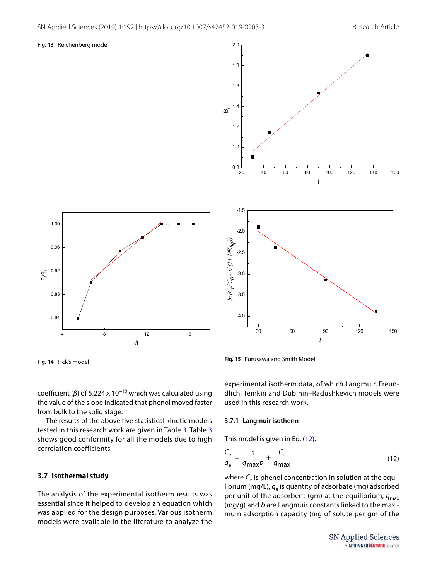#### <span id="page-8-0"></span>**Fig. 13** Reichenberg model





<span id="page-8-2"></span>**Fig. 15** Furusawa and Smith Model

coefficient ( $\beta$ ) of 5.224 × 10<sup>-10</sup> which was calculated using the value of the slope indicated that phenol moved faster from bulk to the solid stage.

The results of the above five statistical kinetic models tested in this research work are given in Table [3.](#page-9-0) Table [3](#page-9-0) shows good conformity for all the models due to high correlation coefficients.

## **3.7 Isothermal study**

<span id="page-8-1"></span>**Fig. 14** Fick's model

The analysis of the experimental isotherm results was essential since it helped to develop an equation which was applied for the design purposes. Various isotherm models were available in the literature to analyze the experimental isotherm data, of which Langmuir, Freundlich, Temkin and Dubinin–Radushkevich models were used in this research work.

30 60 90 120 150

<span id="page-8-3"></span>*t*

#### **3.7.1 Langmuir isotherm**

-4.0

-3.5

-3.0

*ln (Ct / C0 - 1/ (1+ MKbq))*

 $\ln(C_t/C_0$ -  $1/(1+MK_{bq})$ 

-2.5

This model is given in Eq. ([12\)](#page-8-3).

$$
\frac{C_e}{q_e} = \frac{1}{q_{\text{max}}b} + \frac{C_e}{q_{\text{max}}}
$$
(12)

where  $C_{\rm e}$  is phenol concentration in solution at the equilibrium (mg/L),  $q_e$  is quantity of adsorbate (mg) adsorbed per unit of the adsorbent (gm) at the equilibrium,  $q_{\text{max}}$ (mg/g) and  $b$  are Langmuir constants linked to the maximum adsorption capacity (mg of solute per gm of the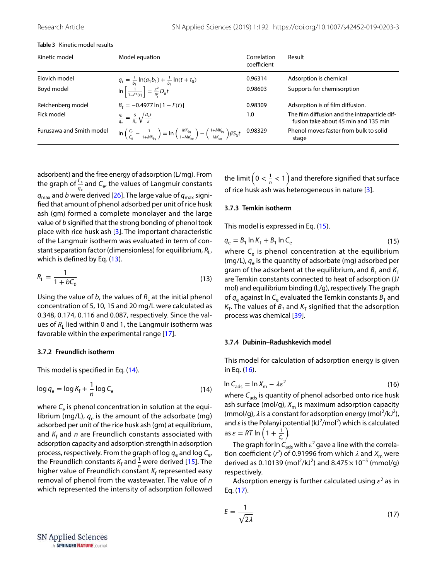| Kinetic model            | Model equation                                                                                                                                   | Correlation<br>coefficient | Result                                                                                |
|--------------------------|--------------------------------------------------------------------------------------------------------------------------------------------------|----------------------------|---------------------------------------------------------------------------------------|
| Elovich model            | $q_t = \frac{1}{b_1} \ln(a_1 b_1) + \frac{1}{b_1} \ln(t + t_0)$                                                                                  | 0.96314                    | Adsorption is chemical                                                                |
| Boyd model               | $\ln\left[\frac{1}{1-f^2(t)}\right] = \frac{\pi^2}{R^2}D_{\rm e}t$                                                                               | 0.98603                    | Supports for chemisorption                                                            |
| Reichenberg model        | $B_t = -0.4977 \ln{1 - F(t)}$                                                                                                                    | 0.98309                    | Adsorption is of film diffusion.                                                      |
| Fick model               | $\frac{q_t}{q_a} = \frac{6}{R_a} \sqrt{\frac{D_e t}{\pi}}$                                                                                       | 1.0                        | The film diffusion and the intraparticle dif-<br>fusion take about 45 min and 135 min |
| Furusawa and Smith model | $\ln\left(\frac{C_t}{C_0}-\frac{1}{1+MK_{ba}}\right)=\ln\left(\frac{MK_{ba}}{1+MK_{ba}}\right)-\left(\frac{1+MK_{ba}}{MK_{ba}}\right)\beta S_5t$ | 0.98329                    | Phenol moves faster from bulk to solid<br>stage                                       |

#### <span id="page-9-0"></span>**Table 3** Kinetic model results

adsorbent) and the free energy of adsorption (L/mg). From the graph of  $\frac{C_e}{q_e}$  and  $C_{e'}$  the values of Langmuir constants  $q_{\text{max}}$  and b were derived [[26](#page-12-33)]. The large value of  $q_{\text{max}}$  signified that amount of phenol adsorbed per unit of rice husk ash (gm) formed a complete monolayer and the large value of b signified that the strong bonding of phenol took place with rice husk ash [\[3](#page-12-34)]. The important characteristic of the Langmuir isotherm was evaluated in term of constant separation factor (dimensionless) for equilibrium,  $R_{\rm L^{\prime}}$ which is defined by Eq. [\(13\)](#page-9-1).

$$
R_{\rm L} = \frac{1}{1 + bC_0} \tag{13}
$$

Using the value of b, the values of  $R_{L}$  at the initial phenol concentration of 5, 10, 15 and 20 mg/L were calculated as 0.348, 0.174, 0.116 and 0.087, respectively. Since the values of  $R_{\text{L}}$  lied within 0 and 1, the Langmuir isotherm was favorable within the experimental range [\[17\]](#page-12-35).

#### **3.7.2 Freundlich isotherm**

This model is specified in Eq. ([14](#page-9-2)).

$$
\log q_{\rm e} = \log K_{\rm f} + \frac{1}{n} \log C_{\rm e} \tag{14}
$$

where  $\mathsf{C}_\mathrm{e}$  is phenol concentration in solution at the equilibrium (mg/L),  $q_e$  is the amount of the adsorbate (mg) adsorbed per unit of the rice husk ash (gm) at equilibrium, and  $K_f$  and n are Freundlich constants associated with adsorption capacity and adsorption strength in adsorption process, respectively. From the graph of log  $q_{e}$  and log  $\mathcal{C}_{e}$ , the Freundlich constants  $K_f$  and  $\frac{1}{n}$  were derived [[15](#page-12-36)]. The higher value of Freundlich constant  $K_f$  represented easy removal of phenol from the wastewater. The value of  $n$ which represented the intensity of adsorption followed

the limit  $(0 < \frac{1}{n})$  $\frac{1}{n}$  < 1 ) and therefore signified that surface of rice husk ash was heterogeneous in nature [\[3\]](#page-12-34).

## **3.7.3 Temkin isotherm**

This model is expressed in Eq. ([15](#page-9-3)).

<span id="page-9-3"></span>
$$
q_e = B_1 \ln K_T + B_1 \ln C_e \tag{15}
$$

<span id="page-9-1"></span>where  $C_{\rm e}$  is phenol concentration at the equilibrium (mg/L),  $q_e$  is the quantity of adsorbate (mg) adsorbed per gram of the adsorbent at the equilibrium, and  $B_1$  and  $K_{\overline{1}}$ are Temkin constants connected to heat of adsorption (J/ mol) and equilibrium binding (L/g), respectively. The graph of  $q_e$  against In  $C_e$  evaluated the Temkin constants  $B_1$  and  $K_{\overline{I}}$ . The values of  $B_1$  and  $K_{\overline{I}}$  signified that the adsorption process was chemical [\[39](#page-12-37)].

#### **3.7.4 Dubinin–Radushkevich model**

This model for calculation of adsorption energy is given in Eq. ([16](#page-9-4)).

<span id="page-9-4"></span><span id="page-9-2"></span>
$$
\ln C_{\text{ads}} = \ln X_{\text{m}} - \lambda \varepsilon^2 \tag{16}
$$

where  $C_{ads}$  is quantity of phenol adsorbed onto rice husk ash surface (mol/g),  $X_m$  is maximum adsorption capacity (mmol/g), λ is a constant for adsorption energy (mol<sup>2</sup>/kJ<sup>2</sup>), and  $\varepsilon$  is the Polanyi potential (kJ<sup>2</sup>/mol<sup>2</sup>) which is calculated as  $\varepsilon = RT \ln \left( 1 + \frac{1}{C} \right)$  $\overline{\epsilon_{\rm e}}$ ) .

The graph for ln  $\tilde{C}_{\sf ads}$  with  $\varepsilon^2$  gave a line with the correlation coefficient ( $r^2$ ) of 0.91996 from which  $\lambda$  and  $X_m$  were derived as 0.10139 (mol<sup>2</sup>/kJ<sup>2</sup>) and 8.475 × 10<sup>-5</sup> (mmol/g) respectively.

Adsorption energy is further calculated using  $\varepsilon^2$  as in Eq. ([17](#page-9-5)).

<span id="page-9-5"></span>
$$
E = \frac{1}{\sqrt{2\lambda}}\tag{17}
$$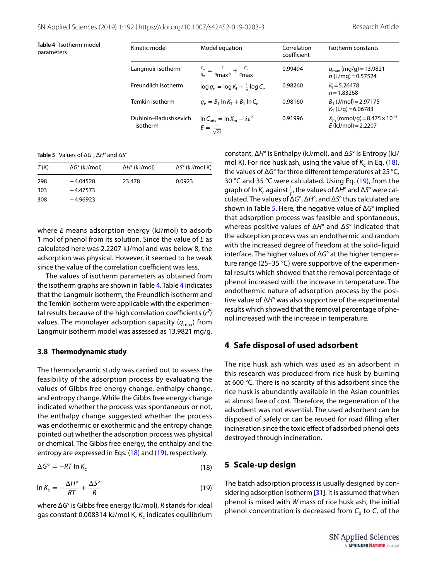<span id="page-10-0"></span>**Table 4** Isotherm model parameters

| Kinetic model                    | Model equation                                                                                     | Correlation<br>coefficient | Isotherm constants                                                                 |
|----------------------------------|----------------------------------------------------------------------------------------------------|----------------------------|------------------------------------------------------------------------------------|
| Langmuir isotherm                | $\frac{\zeta_e}{q_e} = \frac{1}{q_{\text{max}}b} + \frac{\zeta_e}{q_{\text{max}}}$                 | 0.99494                    | $q_{\text{max}}$ (mg/g) = 13.9821<br>$b$ (L/mg) = 0.57524                          |
| Freundlich isotherm              | $\log q_e = \log K_f + \frac{1}{a} \log C_e$                                                       | 0.98260                    | $K_f = 5.26478$<br>$n = 1.83268$                                                   |
| Temkin isotherm                  | $q_e = B_1 \ln K_T + B_1 \ln C_e$                                                                  | 0.98160                    | $B_1$ (J/mol) = 2.97175<br>$K_{\text{T}}$ (L/g) = 6.06783                          |
| Dubinin-Radushkevich<br>isotherm | $\ln C_{\text{ads}} = \ln X_{\text{m}} - \lambda \varepsilon^2$<br>$E = \frac{1}{\sqrt{2\lambda}}$ | 0.91996                    | $X_{\text{m}}$ (mmol/g) = 8.475 $\times$ 10 <sup>-5</sup><br>$E$ (kJ/mol) = 2.2207 |
|                                  |                                                                                                    |                            |                                                                                    |

<span id="page-10-3"></span>**Table 5** Values of ΔG°, ΔH° and ΔS°

| T(K) | $\Delta G^{\circ}$ (kJ/mol) | $\Delta H^{\circ}$ (kJ/mol) | $\Delta S^{\circ}$ (kJ/mol K) |
|------|-----------------------------|-----------------------------|-------------------------------|
| 298  | $-4.04528$                  | 23.478                      | 0.0923                        |
| 303  | $-4.47573$                  |                             |                               |
| 308  | $-4.96923$                  |                             |                               |

where E means adsorption energy (kJ/mol) to adsorb 1 mol of phenol from its solution. Since the value of  $E$  as calculated here was 2.2207 kJ/mol and was below 8, the adsorption was physical. However, it seemed to be weak since the value of the correlation coefficient was less.

The values of isotherm parameters as obtained from the isotherm graphs are shown in Table [4.](#page-10-0) Table [4](#page-10-0) indicates that the Langmuir isotherm, the Freundlich isotherm and the Temkin isotherm were applicable with the experimental results because of the high correlation coefficients  $(r^2)$ values. The monolayer adsorption capacity ( $q_{\text{max}}$ ) from Langmuir isotherm model was assessed as 13.9821 mg/g.

## **3.8 Thermodynamic study**

The thermodynamic study was carried out to assess the feasibility of the adsorption process by evaluating the values of Gibbs free energy change, enthalpy change, and entropy change. While the Gibbs free energy change indicated whether the process was spontaneous or not, the enthalpy change suggested whether the process was endothermic or exothermic and the entropy change pointed out whether the adsorption process was physical or chemical. The Gibbs free energy, the enthalpy and the entropy are expressed in Eqs. [\(18\)](#page-10-1) and ([19](#page-10-2)), respectively.

$$
\Delta G^{\circ} = -RT \ln K_c \tag{18}
$$

$$
\ln K_{\rm c} = -\frac{\Delta H^{\circ}}{RT} + \frac{\Delta S^{\circ}}{R} \tag{19}
$$

where ΔG° is Gibbs free energy (kJ/mol), R stands for ideal gas constant 0.008314 kJ/mol K,  $\mathcal{K}_{\mathsf{c}}$  indicates equilibrium constant, ΔH° is Enthalpy (kJ/mol), and ΔS° is Entropy (kJ/ mol K). For rice husk ash, using the value of  $K_c$  in Eq. ([18](#page-10-1)), the values of ΔG° for three different temperatures at 25 °C, 30 °C and 35 °C were calculated. Using Eq. ([19\)](#page-10-2), from the graph of ln  $K_c$  against  $\frac{1}{l'}$ , the values of  $\Delta H^{\circ}$  and  $\Delta S^{\circ}$  were calculated. The values of ΔG°, ΔH°, and ΔS° thus calculated are shown in Table [5.](#page-10-3) Here, the negative value of ΔG° implied that adsorption process was feasible and spontaneous, whereas positive values of ΔH° and ΔS° indicated that the adsorption process was an endothermic and random with the increased degree of freedom at the solid–liquid interface. The higher values of ΔG° at the higher temperature range (25–35 °C) were supportive of the experimental results which showed that the removal percentage of phenol increased with the increase in temperature. The endothermic nature of adsorption process by the positive value of ΔH° was also supportive of the experimental results which showed that the removal percentage of phenol increased with the increase in temperature.

## **4 Safe disposal of used adsorbent**

The rice husk ash which was used as an adsorbent in this research was produced from rice husk by burning at 600 °C. There is no scarcity of this adsorbent since the rice husk is abundantly available in the Asian countries at almost free of cost. Therefore, the regeneration of the adsorbent was not essential. The used adsorbent can be disposed of safely or can be reused for road filling after incineration since the toxic effect of adsorbed phenol gets destroyed through incineration.

## <span id="page-10-1"></span>**5 Scale‑up design**

<span id="page-10-2"></span>The batch adsorption process is usually designed by considering adsorption isotherm  $[31]$ . It is assumed that when phenol is mixed with W mass of rice husk ash, the initial phenol concentration is decreased from  $C_0$  to  $C_t$  of the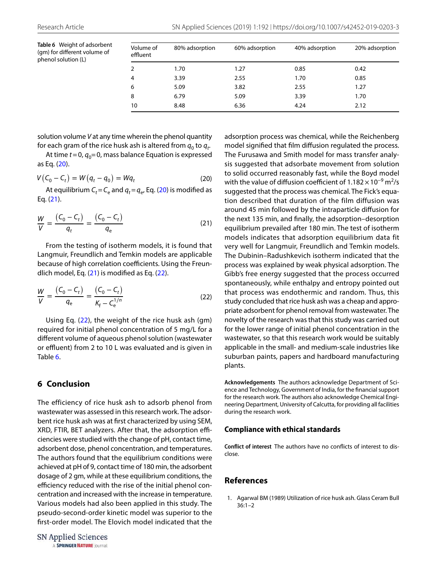<span id="page-11-4"></span>**Table 6** Weight of adsorbent (gm) for different volume of phenol solution (L)

| Volume of<br>effluent | 80% adsorption | 60% adsorption | 40% adsorption | 20% adsorption |
|-----------------------|----------------|----------------|----------------|----------------|
| 2                     | 1.70           | 1.27           | 0.85           | 0.42           |
| 4                     | 3.39           | 2.55           | 1.70           | 0.85           |
| 6                     | 5.09           | 3.82           | 2.55           | 1.27           |
| 8                     | 6.79           | 5.09           | 3.39           | 1.70           |
| 10                    | 8.48           | 6.36           | 4.24           | 2.12           |

solution volume V at any time wherein the phenol quantity for each gram of the rice husk ash is altered from  $q_{\rm 0}$  to  $q_{\rm t^{\star}}$ 

At time  $t = 0$ ,  $q_0 = 0$ , mass balance Equation is expressed as Eq. ([20\)](#page-11-1).

$$
V(C_0 - C_t) = W(q_t - q_0) = Wq_t
$$
 (20)

At equilibrium  $C_t$ = $C_{\rm e}$  and  $q_t$ = $q_{\rm e}$ , Eq. ([20](#page-11-1)) is modified as Eq. ([21\)](#page-11-2).

$$
\frac{W}{V} = \frac{(C_0 - C_t)}{q_t} = \frac{(C_0 - C_t)}{q_e}
$$
\n(21)

From the testing of isotherm models, it is found that Langmuir, Freundlich and Temkin models are applicable because of high correlation coefficients. Using the Freundlich model, Eq. [\(21\)](#page-11-2) is modified as Eq. ([22\)](#page-11-3).

$$
\frac{W}{V} = \frac{(C_0 - C_t)}{q_e} = \frac{(C_0 - C_t)}{K_f - C_e^{1/n}}
$$
(22)

Using Eq. [\(22](#page-11-3)), the weight of the rice husk ash (gm) required for initial phenol concentration of 5 mg/L for a different volume of aqueous phenol solution (wastewater or effluent) from 2 to 10 L was evaluated and is given in Table [6.](#page-11-4)

# **6 Conclusion**

The efficiency of rice husk ash to adsorb phenol from wastewater was assessed in this research work. The adsorbent rice husk ash was at first characterized by using SEM, XRD, FTIR, BET analyzers. After that, the adsorption efficiencies were studied with the change of pH, contact time, adsorbent dose, phenol concentration, and temperatures. The authors found that the equilibrium conditions were achieved at pH of 9, contact time of 180 min, the adsorbent dosage of 2 gm, while at these equilibrium conditions, the efficiency reduced with the rise of the initial phenol concentration and increased with the increase in temperature. Various models had also been applied in this study. The pseudo-second-order kinetic model was superior to the first-order model. The Elovich model indicated that the <span id="page-11-2"></span><span id="page-11-1"></span>adsorption process was chemical, while the Reichenberg model signified that film diffusion regulated the process. The Furusawa and Smith model for mass transfer analysis suggested that adsorbate movement from solution to solid occurred reasonably fast, while the Boyd model with the value of diffusion coefficient of  $1.182 \times 10^{-9}$  m<sup>2</sup>/s suggested that the process was chemical. The Fick's equation described that duration of the film diffusion was around 45 min followed by the intraparticle diffusion for the next 135 min, and finally, the adsorption–desorption equilibrium prevailed after 180 min. The test of isotherm models indicates that adsorption equilibrium data fit very well for Langmuir, Freundlich and Temkin models. The Dubinin–Radushkevich isotherm indicated that the process was explained by weak physical adsorption. The Gibb's free energy suggested that the process occurred spontaneously, while enthalpy and entropy pointed out that process was endothermic and random. Thus, this study concluded that rice husk ash was a cheap and appropriate adsorbent for phenol removal from wastewater. The novelty of the research was that this study was carried out for the lower range of initial phenol concentration in the wastewater, so that this research work would be suitably applicable in the small- and medium-scale industries like suburban paints, papers and hardboard manufacturing plants.

<span id="page-11-3"></span>**Acknowledgements** The authors acknowledge Department of Science and Technology, Government of India, for the financial support for the research work. The authors also acknowledge Chemical Engineering Department, University of Calcutta, for providing all facilities during the research work.

#### **Compliance with ethical standards**

**Conflict of interest** The authors have no conflicts of interest to disclose.

## **References**

<span id="page-11-0"></span> 1. Agarwal BM (1989) Utilization of rice husk ash. Glass Ceram Bull 36:1–2